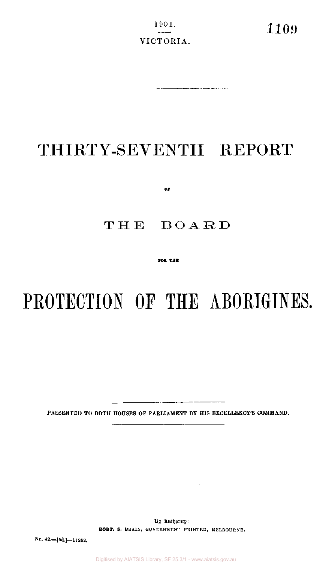$\frac{1901}{109}$  1109 VICTORIA.

 $\sim 10^7$ 

## THIRTY-SEVENTH REPORT

 $O\ddot{r}$ 

## THE BOARD

FOR THE

# PROTECTION OF THE ABORIGINES.

 $\sim$ 

PRESENTED TO BOTH HOUSES OF PARLIAMENT BY HIS EXCELLENCY'S COMMAND.

 $\sim 10^{-1}$ 

By Authority: **ROBT.** S. BRAIN, GOVERNMENT PRINTER, MELBOURNE.

 $\label{eq:2.1} \frac{1}{\sqrt{2}}\sum_{i=1}^n\frac{1}{\sqrt{2}}\sum_{i=1}^n\frac{1}{\sqrt{2}}\sum_{i=1}^n\frac{1}{\sqrt{2}}\sum_{i=1}^n\frac{1}{\sqrt{2}}\sum_{i=1}^n\frac{1}{\sqrt{2}}\sum_{i=1}^n\frac{1}{\sqrt{2}}\sum_{i=1}^n\frac{1}{\sqrt{2}}\sum_{i=1}^n\frac{1}{\sqrt{2}}\sum_{i=1}^n\frac{1}{\sqrt{2}}\sum_{i=1}^n\frac{1}{\sqrt{2}}\sum_{i=1}^n\frac$ 

No. 42.—[9d.}—11252.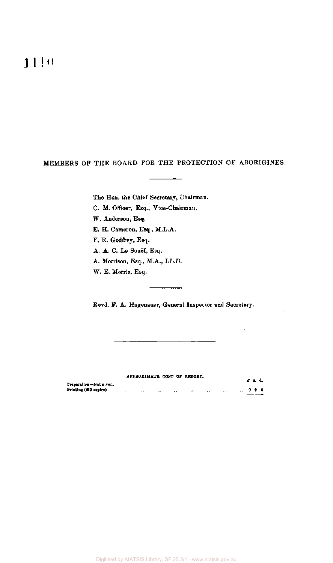**11!"** 

#### MEMBERS OF THE BOARD FOR THE PROTECTION OF ABORIGINES

The Hon. the Chief Secretary, Chairman.

C. M. Officer, Esq., Vice-Chairman.

W. Anderson, Esq.

E. H. Cameron, Esq , M.L.A.

F. R, Godfrey, Esq.

A. A. C. Le Souef, Esq.

A. Morrison, Esq., M.A., LL.D.

W. E. Morris, Esq.

Revd. F. A. Hagenauer, General Inspector and Secretary.

|                                                  |         |           |          |        | APPROXIMATE COST OF REPORT. |                      |                  | £ a. d. |  |
|--------------------------------------------------|---------|-----------|----------|--------|-----------------------------|----------------------|------------------|---------|--|
| Preparation-Not given.<br>Printing (\$10 copies) | $\cdot$ | $\cdot$ . | $\sim$ 4 | $\sim$ | $\bullet$                   | $\ddot{\phantom{1}}$ | $\therefore$ 900 |         |  |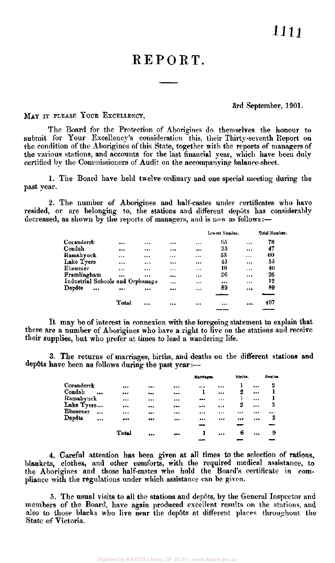## REPORT.

#### 3rd September, 1901.

MAY IT PLEASE YOUR EXCELLENCY,

The Board for the Protection of Aborigines do themselves the honour to submit for Your Excellency's consideration this, their Thirty-seventh Report on the condition of the Aborigines of this State, together with the reports of managers of the various stations, and accounts for the last financial year, which have been duly certified by the Commissioners of Audit on the accompanying balance-sheet.

1. The Board have held twelve ordinary and one special meeting during the past year.

2. The number of Aborigines and half-castes under certificates who have resided, or are belonging to, the stations and different depots has considerably decreased, as shown by the reports of managers, and is now as follows:—

|             |                                  |           |          | Lowest Number. |          | Total Number. |
|-------------|----------------------------------|-----------|----------|----------------|----------|---------------|
| Coranderrk  |                                  |           |          | <br>65         |          | 78            |
| Condah      |                                  | $\cdots$  |          | <br>35         |          | 47            |
| Ramahyuck   | $\cdots$                         |           | $\cdots$ | <br>53         |          | 60            |
| Lake Tyers  |                                  | $\ddotsc$ |          | <br>43         |          | 55            |
| Ebenezer    | $\cdots$                         |           |          | <br>16         | $\cdots$ | 40            |
| Framlingham |                                  |           |          | <br>26         | $\cdots$ | 26            |
|             | Industrial Schools and Orphanage |           |          | <br>           |          | 12            |
| Depôts      | <br>                             |           |          | <br>89         |          | 89            |
|             |                                  |           |          |                |          |               |
|             | Total                            |           |          | <br>           |          | 407           |
|             |                                  |           |          |                |          |               |

It may be of interest in connexion with the foregoing statement to explain that there are a number of Aborigines who have a right to live on the stations and receive their supplies, but who prefer at times to lead a wandering life.

3. The returns of marriages, births, and deaths on the different stations and dep6ts have been as follows during the past year:—

|                    |          |          |              | Matriages. |          | Dirths. |          | Deaths. |
|--------------------|----------|----------|--------------|------------|----------|---------|----------|---------|
| Coranderrk         |          |          | <br>         |            |          |         | $\cdots$ | 2       |
| Condah             | $\cdots$ |          | <br>         | 1          |          | 2       | $***$    |         |
| Ramahyuck          |          |          | <br>$\cdots$ | $4 + 4$    |          |         |          | 1       |
| Lake Tyers         |          |          | <br>         |            | $\cdots$ | 2       |          | 3       |
| Ebenezer           | $\cdots$ |          | <br>         |            | $\cdots$ |         |          |         |
| $\mathbf{D}$ epôts | $***$    | $\cdots$ | <br>         |            |          |         |          | 2       |
|                    |          |          |              |            |          |         |          |         |
|                    |          | Total    |              |            |          | 6       |          | 9       |
|                    |          |          | <br>         |            |          |         |          |         |

4. Careful attention has been given at all times to the selection of rations, blankets, clothes, and other comforts, with the required medical assistance, to the Aborigines and those half-castes who hold the Board's certificate in compliance with the regulations under which assistance can be given.

5. The usual visits to all the stations and depots, by the General Inspector and members of the Board, have again produced excellent results on the stations, and also to those blacks who live near the depots at different places throughout the State of Victoria.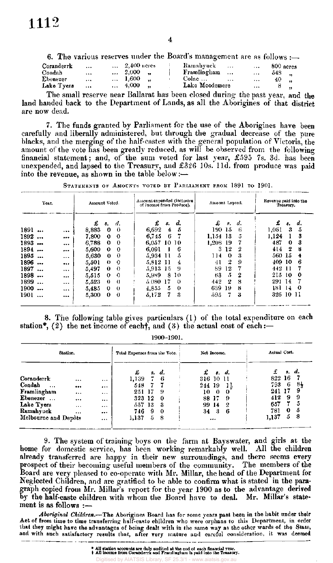6. The various reserves under the Board's management are as follows :—

| Coranderrk<br>Condah<br>Ebenezer<br>Lake Tyers | <b>SALE</b><br>$\cdots$<br>$\cdots$<br>$\cdots$ | $2,400$ acres<br>$\ldots$ 2,000<br>$\ldots$ 1,600<br>$\dots$ 4,000 | Ramabyuck<br>$\cdots$<br>Framlingham<br>Colac $\ldots$<br>$\cdots$<br>Lake Moodemere | $\cdots$<br>$\bullet$ + + $\bullet$<br>$\cdots$ | 800 acres<br>$\ldots$ 548 $\ldots$<br>40.<br>8.<br>$\sim$ |
|------------------------------------------------|-------------------------------------------------|--------------------------------------------------------------------|--------------------------------------------------------------------------------------|-------------------------------------------------|-----------------------------------------------------------|
|                                                |                                                 |                                                                    |                                                                                      |                                                 |                                                           |

The small reserve near Ballarat has been closed during the past year, and the land handed back to the Department of Lands, as all the Aborigines of that district are now dead.

7. The funds granted by Parliament for the use of the Aborigines have been carefully and liberally administered, but through the gradual decrease of the pure blacks, and the merging of the half-castes with the general population of Victoria, the amount of the vote has been greatly reduced, as will be observed from the following financial statement; and, of the sum voted for last year, £595 7s. 3d. has been unexpended, and lapsed to the Treasury, and £326 10s. l1d. from produce was paid into the revenue, as shown in the table below: $\rightarrow$ 

| Year.             |                                                             | Amount Voted.             | Amount expended (inclusive<br>of Income from Produce). | Amount Lapsed.       | Revenue paid into the<br>Treasury. |  |  |  |
|-------------------|-------------------------------------------------------------|---------------------------|--------------------------------------------------------|----------------------|------------------------------------|--|--|--|
|                   |                                                             | £<br>- d.<br>8.           | d.<br>£<br><b>S.</b>                                   | £<br>s. d.           | £<br>d.<br>s.                      |  |  |  |
| 1891              | $\cdots$                                                    | 8,883<br>0<br>$\bf{0}$    | 6,692<br>5<br>4                                        | 190 15<br>6          | 1,051<br>3<br>5                    |  |  |  |
| 1892              |                                                             | 7,800<br>$\mathbf 0$<br>0 | 6.745<br>6                                             | 5<br>1.154 13        | 1,124<br>3                         |  |  |  |
| 1893              | $\bullet$ .<br><br><br><br><br><br><br><br><br><br><br><br> | 6,788<br>0<br>0           | 6,057<br>10/10                                         | 1,208 19             | 487<br>3<br>0                      |  |  |  |
| 1894              |                                                             | 5,600<br>$\bf{0}$<br>0    | 6.091<br>6                                             | 12<br>3<br>2         | 2<br>414<br>н                      |  |  |  |
| 1895<br>$\ddotsc$ | $\cdots$                                                    | $\bf{0}$<br>5.630<br>0    | 5.934<br>11<br>5                                       | 114<br>$\Omega$<br>3 | 560 15<br>4                        |  |  |  |
| 1896              |                                                             | 5,501<br>$\theta$<br>0    | 5.812<br>11<br>4                                       | 2<br>9<br>41         | 409 10<br>6                        |  |  |  |
| 1897              | $\cdots$                                                    | 5,497<br>$\theta$<br>0    | 9<br>5.913<br>15                                       | 12<br>89             | 442<br>11                          |  |  |  |
| 1898              |                                                             | 5,515<br>0<br>0           | 5,989<br>8<br>10                                       | 5<br>2<br>68         | 215<br>-10<br>0                    |  |  |  |
| 1899<br>$\ddotsc$ | $\cdots$                                                    | 5,523<br>$\theta$<br>0    | 17<br>5.080<br>$\theta$                                | 2<br>8<br>442        | 291 14                             |  |  |  |
| 1900              | $\cdots$                                                    | 5,485<br>0<br>0           | 0<br>4.855<br>5                                        | 639<br>19<br>8       | 181 14<br>-0                       |  |  |  |
| 1901              |                                                             | $\bf{0}$<br>5,300<br>0    | -3<br>5,172<br>7.                                      | 7<br>-3<br>595.      | 326 10 11                          |  |  |  |

STATEMENTS OF AMOUNTS VOTED BY PARLIAMENT FROM 1891 TO 1901.

8. The following table gives particulars (1) of the total expenditure on each station\*, (2) the net income of each†, and (3) the actual cost of each :—

1900-1901.

| Station.             |          | Total Expenses from the Vote. |       | Net Income. |                    | Actual Cost. |                   |             |     |
|----------------------|----------|-------------------------------|-------|-------------|--------------------|--------------|-------------------|-------------|-----|
|                      |          |                               | £     | \$.         | $\boldsymbol{d}$ . | £            | $\mathbf{s}$ , d. | £<br>s. d.  |     |
| Coranderrk           |          |                               | 1,139 |             | 6                  |              | 316 10 11         | 16<br>822   |     |
| Condah<br>$\cdots$   | $$       |                               | 548   |             |                    | 244 19       | 14                | 6<br>793    | -84 |
| Framlingham          | $\cdots$ |                               | 251   | 17          | 9                  | 10           | 0<br>0            | 17<br>241   | 9   |
| Ebenezer             | $\cdots$ |                               | 323.  | 12          | -0                 | 88 17        | 9                 | 412<br>9    | 9   |
| Lake Tyers           | $\cdots$ |                               | 557   | 13          | -3                 | 99.          | 14<br>2           | 657         | ā   |
| Ramahyuck            |          |                               | 746   | 9           | $\bf{0}$           | 34           | 3<br>6            | 0<br>781    | 5   |
| Melbourne and Depôts |          |                               | 1,137 | 5           | 8                  |              | $\cdots$          | 5.<br>1,137 | -8  |

9. The system of training boys on the farm at Bayswater, and girls at the home for domestic service, has been working remarkably well. All the children already transferred are happy in their new surroundings, and there seems every prospect of their becoming useful members of the community. The members of the Board are very pleased to co-operate with Mr. Millar, the head of the Department for Neglected Children, and are gratified to be able to confirm what is stated in the paragraph copied from Mr. Millar's report for the year 1900 as to the advantage derived<br>by the half-caste children with whom the Board have to deal. Mr. Millar's stateby the half-caste children with whom the Board have to deal. ment is as follows :—

*Aboriginal Children.*—The Aborigines Board has for some years past been in the habit under their Act of from time to time transferring half-caste children who were orphans to this Department, in order that they might have the advantages of being dealt with in the same way as the other wards of the State, and with such satisfactory results that, after very mature and careful consideration, it was deemed

> **\* All station accounts are duly audited at the end of each financial year, All income from Coranderrk and Framlingham it paid into the Treasury. AIATSIS Library, SF**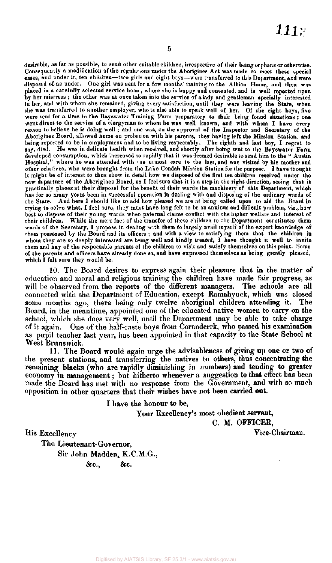desirable, as far as possible, to send other suitable children, irrespective of their being orphans or otherwise. Consequently a modification of the regulations under the Aborigines Act was made to meet these special cases, and under it, ten children—two girls and eight boys—were transferred to this Department, and were disposed of as under. One girl was sent for a few months' training to the Albion Home, and then was placed in a carefully selected service home, where she is happy and contented, and is well reported upon by her mistress; the other was at once taken into the service of a lady and gentleman specially interested in her, and with whom she remained, giving every satisfaction, until they were leaving the State, when she was transferred to another employer, who is also able to speak well of her. Of the eight boys, five were sent for a time to the Bayswater Training Farm preparatory to their being found situations ; one went direct to the service of a clergyman to whom he was well known, and with whom I have every reason to believe he is doing well ; and one wa6, on the approval of the Inspector and Secretary of the Aborigines Board, allowed home on probation with his parents, they having left the Mission Station, and being reported to be in employment and to be living respectably. The eighth and last boy, I regret to say, died. He was in delicate health when received, and shortly after being sent to the Bayswater Farm developed consumption, which increased so rapidly that it was deemed desirable to send him to the " Austin Hospital," where he was attended with the utmost care to the last, and was visited by his mother and other relatives, who were brought from the Lake Condah Mission Station for the purpose. I have thought it might be of interest to thus show in detail how we disposed of the first ten children received under the new departure of the Aborigines Board, as I feel sure that it is a step in the right direction, seeing that it practically places at their disposal for the benefit of their wards the machinery of this Department, which has for so many years been in successful operation in dealing with and disposing of the ordinary wards of the State. And here I should like to add how pleased we are at being called upon to aid the Board in trying to solve what, I feel sure, they must have long felt to be an anxious and difficult problem, viz., how best to dispose of their young wards when paternal claims conflict with the higher welfare and interest of their children. While the mere fact of the transfer of these children to the Department constitutes them wards of the Secretary, I propose in dealing with them to largely avail myself of the expert knowledge of them possessed by the Board and its officers; and with a view to satisfying them that the children in whom they are so deeply interested are being well and kindly treated, I have thought it well to invite them and any of the respectable parents of the children to visit and satisfy themselves on this point. Some of the parents and officers have already done so, and have expressed themselves as being greatly pleased, which I felt sure they would be.

10. The Board desires to express again their pleasure that in the matter of education and moral and religious training the children have made fair progress, as will be observed from the reports of the different managers. The schools are all connected with the Department of Education, except Ramahyuck, which was closed some months ago, there being only twelve aboriginal children attending it. The Board, in the meantime, appointed one of the educated native women to carry on the school, which she does very well, until the Department may be able to take charge of it again. One of the half-caste boys from Coranderrk, who passed his examination as pupil teacher last year, has been appointed in that capacity to the State School at West Brunswick.

11. The Board would again urge the advisableness of giving up one or two of the present stations, and transferring the natives to others, thus concentrating the remaining blacks (who are rapidly diminishing in numbers) and tending to greater economy in management; but hitherto whenever a suggestion to that effect has been made the Board has met with no response from the Government, and with so much opposition in other quarters that their wishes have not been carried out.

I have the honour to be,

Your Excellency's most obedient servant,

C. M. OFFICER,

His Excellency Vice-Chairman.

The Lieutenant-Governor, Sir John Madden, K.C.M.G., &c., &c.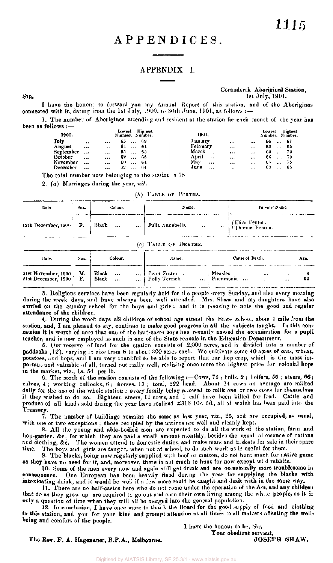## APPENDICES .

#### APPENDIX I.

#### Coranderrk Aboriginal Station, 1st July, 1901.

I have the honour to forward you my Annual Report of this station, and of the Aborigines connected with it, dating from the 1st July, 1900, to 30th June, 1901, as follows :-

1. The number of Aborigines attending and resident at the station for each month of the year has been as follows :—

| 1900.     |                      |           | Lowest<br>Number. Number. | Highest |  | 1901.    |           |                          |          | Lowest |          | Highest<br>Number. Number. |
|-----------|----------------------|-----------|---------------------------|---------|--|----------|-----------|--------------------------|----------|--------|----------|----------------------------|
| $J$ uly   | $\ddot{\phantom{1}}$ |           | 65<br>$\cdots$            | -69     |  | Jamary   |           | $\cdots$                 |          | 66     | $\cdots$ | - 67                       |
| August    |                      | $\bullet$ | 64<br>$\cdots$            | -64     |  | February |           | $\cdots$                 |          | 63     | $\cdots$ | 65                         |
| September |                      |           | 65<br>$\cdots$            | -65     |  | March    | $\ddotsc$ |                          |          | 65     | $\cdots$ | -70                        |
| October - | 1.14                 |           | 62<br>$\cdots$            | -65     |  | April    | $\cdots$  | $1 + 4$                  |          | 66     | $\cdots$ | -70.                       |
| November  | $\cdots$             |           | 60<br>$\cdots$            | -64     |  | May      | $\cdots$  |                          | $\cdots$ | 65     | $\cdots$ | -75                        |
| December  | $\cdots$             |           | 62.                       | -64     |  | June     | $\cdots$  | $\overline{\phantom{a}}$ | $-115$   | 63.    | $\cdots$ | -65                        |
|           |                      |           |                           |         |  |          |           |                          |          |        |          |                            |

The total number now belonging to the station is 78.

2. (a) Marriages during the year, *nil.* 

| $(b)$ TABLE OF BIRTHS. |  |
|------------------------|--|
|------------------------|--|

| Date.                                      | Sex.                 | Colour.                                               | Name.                                                                               | Parents' Name.                                  |
|--------------------------------------------|----------------------|-------------------------------------------------------|-------------------------------------------------------------------------------------|-------------------------------------------------|
| 12th December, 1900                        | F.                   | Black<br>$\ddots$<br>$\cdots$                         | Julia Annabella<br>$\sim$ $\sim$                                                    | (Eliza Fenton.<br>" Thomas Fenton.              |
|                                            |                      |                                                       | (c) TABLE OF DEATHS.                                                                |                                                 |
| Date.                                      | Sex.                 | Colour.                                               | Name.                                                                               | <b>Cause of Death.</b><br>Age.                  |
| 21st November, 1900<br>21st December, 1900 | М.<br>$\mathbf{F}$ . | Black<br>$\ddotsc$<br>Black<br>$\ddotsc$<br>$\ddotsc$ | Peter Foster<br>$\ldots$ Measles $\ldots$<br>Pneumonia . <i></i><br>  Polly Terrick | $***$<br><br>62<br>$\sim$ 1 $\times$<br>$+ + +$ |

3. Religious services have been regularly held for the people every Sunday, and also every morning during the week days, and have always been well attended. Mrs. Shaw and my daughters have also carried on the Sunday school for the boys and girls; and it is pleasing to note the good and regular attendance of the children.

4. During the week days all children of school age attend the State school, about 1 mile from the station, and, I am pleased to say, continue to make good progress in all the subjects taught. In this connexion it is worth of note that one of the half-caste boys has recently passed the examination for a pupil teacher, and is now employed as such in one of the State schools in the Education Department.

5. Our reserve of land for the station consists of 2,000 acres, and is divided into a number of paddocks (12), varying in size from 6 to about 300 acres each. We cultivate some 40 acres of oats, wheat, potatoes, and hops, and I am very thankful to be able to report that our hop crop, which is the most important and valuable of all, turned out really well, realizing once more the highest price for colonial hops in the market, viz., 1s. 5d per lb.

6. The stock of the station consists of the following :—Cows, 75 ; bulls, 2 ; heifers, 56 ; steers, *66;*  calves, 4; working bullocks, 6; horses, 13; total, 222 head. About 14 cows on average are milked daily for the use of the whole station ; every family being allowed to milk one or two cows for themselves if they wished to do so. Eighteen steers, 11 cows, and 1 calf have been killed for food. Cattle and produce of all kinds sold during the year have realized £316 10s. 5d., all of which has been paid into the Treasury.

7. The number of buildings remains the same as last year, viz., 25, and are occupied, as usual, with one or two exceptions : those occupied by the natives are well and cleanly kept. with one or two exceptions; those occupied by the natives are well and cleanly kept.<br>8. All the young and able-bodied men are expected to do all the work of the station, farm and

hop-garden, &c , for which they are paid a small amount monthly, besides the usual allowance of rations and clothing, &c. The women attend to domestic duties, and make mats and baskets for sale in their spare time. The boys and girls are taught, when not at school, to do such work as is useful for them.

9. The blacks, being now regularly supplied with beef or mutton, do not hunt much for native game as they have no need for it, and, moreover, there is not much to hunt for now except wild rabbits.

10. Some of the men every now and again still gel drink and are occasionally more troublesome in consequence. One European has been heavily fined during the year for supplying the blacks with intoxicating drink, and it would be well if a few more could be caught and dealt with in the same way.

11. There are no half-castes here who do not come under the operation of the Act, and any children that do as they grow up are required to go out and earn their own living among the white people, so it is only a question of time when they will all be merged into the general population.

12. In conclusion, I have once more to thank the Board for the good supply of food and clothing to this station, and you for your kind and prompt attention at all times to all matters affecting the wellbeing and comfort of the people.

I have the honour to be, Sir, Tour obedient servant,

The Rev. F. A. Hagenauer, B.P.A., Melbourne.

SIR,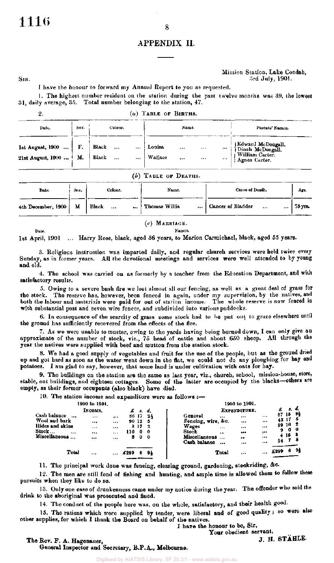#### APPENDIX II.

#### Mission Station, Lake Condah, SIR, 3rd July, 1901.

I have the honour to forward my Annual Report to you as requested.

1. The highest number resident on the station during the past twelve months was 39, the lowest 31, daily average, 35. Total number belonging to the station, 47.

 $\Omega$ 

**Date.** 

*(a)* **TABL E O F BIRTHS .** 

| Date.                                 | Sex.     | Colour.                        | Name.                                                                                      | Parents' Names.                                                                 |
|---------------------------------------|----------|--------------------------------|--------------------------------------------------------------------------------------------|---------------------------------------------------------------------------------|
| 1st August, 1900<br>21st August, 1900 | ғ.<br>М. | Black<br>$\cdots$<br>Black<br> | Louisa<br>$\ddotsc$<br>$\cdots$<br>$\cdots$<br><b>Wallace</b><br><br>$\bullet$<br>$\cdots$ | {Edward McDougall.<br>{Dinah McDougall.<br>} William Carter.<br>{ Agnes Carter. |

#### **(b) TABL E O F DEATHS .**

| Date.              | Sex. | Colour.   | Name.                    | Cause of Death.                       | Age.    |
|--------------------|------|-----------|--------------------------|---------------------------------------|---------|
| 4th December, 1900 | М    | Black<br> | <br><b>Thomas Willis</b> | <br>Cancer of Bladder<br><br>$\cdots$ | 75 ута. |

*(c)* MARRIAGE.

**Names.** 

1st April, 1901 Harry Hose, black, aged 56 years, to Marion Carmichael, black, aged 55 years.

3. Religious instruction was imparted daily, and regular church services were held twice every Sunday, as in former years. All the devotional meetings and services were well attended to by young and old.

4. The school was carried on as formerly by a teacher from the Education Department, and with satisfactory results.

5. Owing to a severe bush fire we lost almost all our fencing, as well as a great deal of grass for the stock. The reserve has, however, been fenced in again, under my supervision, by the natives, and both the labour and materials were paid for out of station income. The whole reserve is now fenced in with substantial post and seven wire fences, and subdivided into various paddocks.

6. In consequence of the scarcity of grass some stock had to be put out to graze elsewhere until the ground has sufficiently recovered from the effects of the fire.

7. As we were unable to muster, owing to the yards having being burned down, I can only give an approximate of the number of stock, viz., 75 head of cattle and about 650 sheep. All through the year the natives were supplied with beef and mutton from the station stock.

8. We had a good supply of vegetables and fruit for the use of the people, but as the ground dried up and got hard as soon as the water went down in the flat, we could not do any ploughing for hay and potatoes. I am glad to say, however, that some land is under cultivation with oats for hay.

9. The buildings on the station are the same as last year, viz., church, school, mission-house, store, stable, out buildings, and eighteen cottages. Some of the latter are occupied by the blacks—others are empty, as their former occupants (also black) have died.

10. The station income and expenditure were as follows :—

|  | 1900 to 1901. |  |
|--|---------------|--|
|  |               |  |

|                                                 | Інсоме,  |           | £    | -8.   | d.  | EXPENDITURE.                              | £    | 8.             |    |
|-------------------------------------------------|----------|-----------|------|-------|-----|-------------------------------------------|------|----------------|----|
| Cash balance<br>$\cdots$                        | $\cdots$ | $\bullet$ |      | 86 17 | 21  | General<br><br><br>                       | 87   | 15             | 94 |
| Wool and bark                                   |          | $\cdots$  |      | 90 12 | ā   | Fencing, wire, &c.<br><br>                |      | 43 17          |    |
| Hides and skins                                 |          |           |      | 8 IT  | - 2 | Wages<br><br><br>                         | 99   | 10 2           |    |
| $\operatorname{\mathbf{Stock}}$ $\dots$<br>1.14 |          | $\cdots$  | .10  | 0     | 0   | Stock<br>$\cdots$<br>$\bullet$            | 9.   | 0 <sub>0</sub> |    |
| Miscellaneous<br>$\cdots$                       |          |           | 8.   | 0     | - 0 | Miscellaneous<br><br>$\cdots$<br>$\cdots$ |      | 4153           |    |
|                                                 |          |           |      |       |     | Cash balance<br>110<br><br>               | 54   |                | 78 |
| Total                                           |          |           | £299 |       | 9ł  | Total<br><br>                             | £299 | 6              | 94 |

11. The principal work done was fencing, clearing ground, gardening, stockriding, &c.

12. The men are still fond of fishing and hunting, and ample time is allowed them to follow these pursuits when they like to do so.

13. Only one case of drunkenness came under my notice during the year. The offender who sold the drink to the aboriginal was prosecuted and fined.

14. The conduct of the people here was, on the whole, satisfactory, and their health good.

15. The rations which were supplied by tender, were liberal and of good quality ; so were also other supplies, for which I thank the Board on behalf of the natives.

I have the honour to be, Sir,

Your obedient servant,<br>J. H. STÄHLE.

**1900 to 1901.** 

8

The Rev. F. A. Hagenauer, General Inspector and Secretary, B.P.A., Melbourne.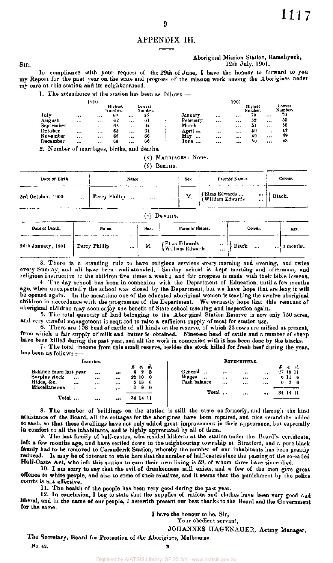#### APPENDIX III.

#### Aboriginal Mission Station, Ramahyuck, 12 th July, 1901.

In compliance with your request of the 29th of June, I have the honour to forward to you my Report for the past year on the state and progress of the mission work among the Aborigines under my care at this station and its neighbourhood.

1. The attendance at the station has been as follows:—

|           |          | 1900.    |                    |          |                   |   |          |            | 1901.    |                     |          |                    |
|-----------|----------|----------|--------------------|----------|-------------------|---|----------|------------|----------|---------------------|----------|--------------------|
|           |          |          | Highest<br>Number. |          | Lowest<br>Number. |   |          |            |          | Ilighest<br>Number. |          | Lowest.<br>Number. |
| July      |          | $\cdots$ | 60                 |          | 55                |   | Januarv  | $+ - -$    |          | 70                  |          | 70                 |
| August    | $\cdots$ | $\cdots$ | 62                 | $\cdots$ | 61                | ٠ | February |            |          | 52                  |          | 50                 |
| September | $\cdots$ | $\cdots$ | 69                 |          | 64                |   | March    | $+ + +$    | $\cdots$ | -51                 | $\cdots$ | 50                 |
| October   |          | $\cdots$ | 65                 | 1.1.7    | 64                |   | April    | <b>145</b> |          | 50                  | $+ + +$  | 49                 |
| November  | $\cdots$ |          | 68                 | .        | 66                |   | May<br>  |            |          | 49                  | $\cdots$ | 49                 |
| December  |          | $\cdots$ | 68                 |          | 66                |   | June     |            |          | 5υ.                 |          | 48                 |
|           | $-$      |          |                    |          |                   |   |          |            |          |                     |          |                    |

2. Number of marriages, births, and deaths.

(a) MARRIAGES: None.

 $(b)$  BIRTHS.

| Date of Birth.                | Name.                      | Sex. | Parents' Names.                                | Colour. |
|-------------------------------|----------------------------|------|------------------------------------------------|---------|
| 3rd October, 1900<br>$\cdots$ | Percy Phillip<br><br>$***$ | М.   | [Eliza Edwards<br>  William Edwards<br>---<br> | Black.  |

#### $(c)$  DEATHS.

| Date of Death,     | Name.         | Sex.   | Parents' Names.                             | Colour. | Age.      |
|--------------------|---------------|--------|---------------------------------------------|---------|-----------|
| 26th January, 1901 | Percy Phillip | <br>M. | (Eliza Edwards)<br>{William Edwards<br><br> | Black   | 3 months. |

3. There is a standing rule to have religious services every morning and evening, and twice every Sunday, and all have been well attended. Sunday school is kept morning and afternoon, and religious instruction to the children five times a week ; and fair progress is made with their bible lessons.

4 The day school has been in connexion with the Department of Education, until a few months ago, when unexpectedly the school was closed by the Department, but we have hope that ere long it will be opened again. In the meantime one of the educated aboriginal women is teaching the twelve aboriginal children in accordance with the programme of the Department. We earnestly hope that this remnant of aboriginal children may soon enjoy the benefit of State school teaching and inspection again.

5. The total quantity of land belonging to the Aboriginal Station Reserve is now only 750 acres, and very careful management is required to raise a sufficient supply of meat for station use.

6. There are 108 head of cattle of all kinds on the reserve, of which 23 cows are milked at present, from which a fair supply of milk and butter is obtained. Nineteen head of cattle and a number of sheep have been killed during the past year, and all the work in connexion with it has been done by the blacks.

7. The total income from this small reserve, besides the stock killed for fresh beef during the year, has been as follows :—

|                                                       |              | INCOME.          |                                                 |   | £t.                              | d.                  |                                              | EXPENDITURE.                          |                          |          |                            | я. d. |  |
|-------------------------------------------------------|--------------|------------------|-------------------------------------------------|---|----------------------------------|---------------------|----------------------------------------------|---------------------------------------|--------------------------|----------|----------------------------|-------|--|
| Balance from last year<br>Surplus stock<br>Hides, &c. | <br>$\cdots$ | <br><br>$\cdots$ | $\bullet\bullet\bullet$<br>$\cdots$<br>$\cdots$ | 6 | $2\overline{5}$<br>22 10<br>5 13 | $\mathbf{0}$<br>- 6 | General<br>Wages<br>$\cdots$<br>Cash balance | <br><br><br>$\ddotsc$<br><br>$\cdots$ | $\cdots$<br>$\cdots$<br> | 27.19.11 | 611 6<br>$0\quad 3\quad 6$ |       |  |
| Miscellaneous<br>Total                                | $4 + 4$      | <br>$\cdots$     | $\bullet$<br>                                   | 0 | 34 14 11                         | 90                  | Total                                        |                                       |                          | 34 14 11 |                            |       |  |

8. The number of buildings on the station is still the same as formerly, and through the kind assistance of the Board, all the cottages for the aborigines have been repaired, and nice verandahs added to each, so that these dwellings have not only added great improvement in their appearance, but especially in comfort to all the inhabitants, and is highly appreciated by all of them.

9. The last family of half-castes, who resided hitherto at the station under the Board's certificate, left a few months ago, and have settled down in the neighbouring township at Stratford, and a pure black family had to be removed to Coranderrk Station, whereby the number of our inhabitants has been greatly reduced. It may be of interest to state here that the number of half-castes since the passing of the so-called Half-Caste Act, who left this station to earn their own living is 59, of whom three have since died.

10. I am sorry to say that the evil of drunkenness still exists, and a few of the men give great offence to white people, and also to some of their relatives, and it seems that the punishment by the police courts is not effective.

11. The health of the people has been very good during the past year.

12. In conclusion, I beg to state that the supplies of rations and clothes have been very good and liberal, and in the name of our people, I herewith present our best thanks to the Board and the Government for the same.

I have the honour to be, Sir,

Your obedient servant,

JOHANNES HAGENAUER, Acting Manager.

The Secretary, Board for Protection of the Aborigines, Melbourne. No. 42.

SIR,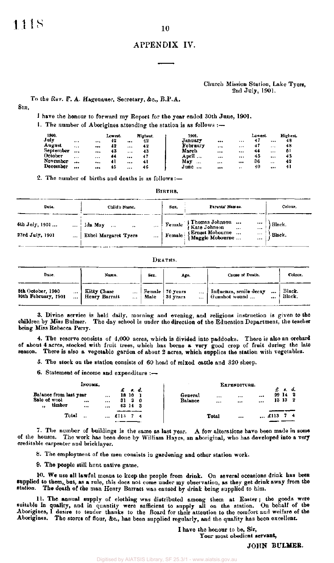#### APPENDIX IV.

#### Church Mission Station, Lake Tyers, 2nd July, 1901.

To the Rev. F. A. Hagenauer, Secretary, &c., B.P.A.

SIR,

I have the honour to forward my Report for the year ended 30th June, 1901.

1. The number of Aborigines attending the station is as follows :—

| 1900.<br>July | $\cdots$ |    | Lowest.<br>42 |          | Highest.<br>42 | 1901.<br>January |          |         | Lowest.<br>47 |      | Highest.<br>48 |
|---------------|----------|----|---------------|----------|----------------|------------------|----------|---------|---------------|------|----------------|
| August        | $\cdots$ | $$ | 42            |          | 42             | February         | $\cdots$ |         | 47            | .    | 48             |
| September     |          |    | 43            | $\cdots$ | 43             | March            |          | $$      | 44            |      | -61            |
| October       |          |    | 44            |          | 47             | April            | $\cdots$ |         | 45            |      | 45             |
| November      |          |    | 41            |          | 41             | May<br>          |          |         | 36            | $+1$ | 42             |
| December      |          |    | 45            |          | 46             | June             |          | $\cdot$ | 40            |      | 41             |

2. The number of births and deaths is as follows :—

BIRTHS.

| Date.                             | Child's Name.                                                                  | Sex.             | Parents' Names.                                                                                                  | Colour.          |
|-----------------------------------|--------------------------------------------------------------------------------|------------------|------------------------------------------------------------------------------------------------------------------|------------------|
| 6th July, 1901<br>23rd July, 1901 | Ida May<br>$\cdots$<br>$\sim$<br>$\cdots$<br>Ethel Margaret Tyers<br>$\ddotsc$ | Female<br>Female | f Thomas Johnson<br>Hate Johnson<br>1.11<br>$\cdots$<br>(Ernest Mobourne )<br>(Maggie Mobourne )<br>$\cdots$<br> | Black.<br>Black. |
|                                   |                                                                                |                  |                                                                                                                  |                  |

#### DEATHS.

| Date.                                    | Name.                            | Sex. | Age.                                      | Cause of Death.                                    | Colour.          |
|------------------------------------------|----------------------------------|------|-------------------------------------------|----------------------------------------------------|------------------|
| 5th October, 1900<br>10th February, 1901 | Kitty Chase<br>Henry Barratt<br> | Male | Female   76 years<br>S <sub>1</sub> years | Influenza, senile decay<br><br>  Gunshot wound<br> | Black.<br>Black. |

3. Divine service is held daily, morning and evening, and religious instruction is given to the children by Miss Bulmer. The day school is under the direction of the Education Department, the teacher being Miss Rebecca Perry.

4. The reserve consists of 4,000 acres, which is divided into paddocks. There is also an orchard of about 4 acres, stocked with fruit trees, which has borne a very good crop of fruit during the late season. There is also a vegetable garden of about 2 acres, which supplies the station with vegetables.

5. The stock on the station consists of 60 head of mixed cattle and 320 sheep.

6. Statement of income and expenditure :—

|                                                        | Іксомб.                           |                   |      |                                  |                    |              | EXPENDITURE. |                        |                     |            |
|--------------------------------------------------------|-----------------------------------|-------------------|------|----------------------------------|--------------------|--------------|--------------|------------------------|---------------------|------------|
| Balance from last year<br>Sale of wool<br>timber<br>,, | $\mathbf{r}$ and $\mathbf{r}$<br> | <br>$\ddotsc$<br> |      | £ s.d.<br>18 10<br>30<br>63 14 3 | General<br>Balance | <br>         | <br>         | <br><br>99 14<br>13 13 | $f \cdot f \cdot d$ | - 2<br>- 2 |
|                                                        | Total<br>$\ddotsc$                | $1 + 1$           | £113 |                                  |                    | <b>Total</b> |              | $$ £113                |                     |            |

7. The number of buildings is the same as last year. A few alterations have been made in some of the houses. The work has been done by William Hayes, an aboriginal, who has developed into a very creditable carpenter and bricklayer.

8. The employment of the men consists in gardening and other station work.

9. The people still hunt native game.

10. We use all lawful means to keep the people from drink. On several occasions drink has been supplied to them, but, as a rule, this does not come under my observation, as they get drink away from the Station. The death of the man Henry Barratt was caused by drink being supplied to him.

11. The annual supply of clothing was distributed among them at Easter; the goods were suitable in quality, and in quantity were sufficient to supply all on the station. On behalf of the Aborigines, I desire to tender thanks to the Board for their attention to the comfort and welfare of the Aborigines. The stores of flour, &c., has been supplied regularly, and the quality has been excellent.

> I have the honour to be, Sir, Your most obedient servant,

> > JOHN BULMER.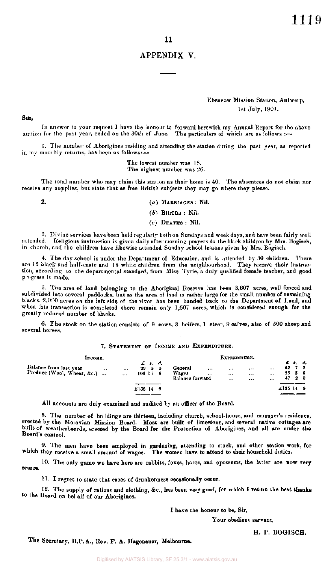#### APPENDIX V.

Ebenezer Mission Station, Antwerp, 1st July, 190!.

SIR,

In answer to your request I have the honour to forward herewith my Annual Report for the above station for the past year, ended on the 30th of June. The particulars of which are as follows :—

1. The number of Aborigines residing and attending the station during the past year, as reported in my monthly returns, has been as follows:-

> The lowest number was 16. The highest number was 26.

The total number who may claim this station as their home is 40. The absentees do not claim nor receive any supplies, but state that as free British subjects they may go where they please.

2.  $(a)$  MARRIAGES : Nil.

*(b)* BIRTHS : Nil.

*(c)* DEATHS : Nil.

3. Divine services have been held regularly both on Sundays and week days, and have been fairly well attended. Religious instruction is given daily after morning prayers to the black children by Mrs. Bogiseh, in church, and the children have likewise attended Sunday school lessons given by Mrs. Bogisch.

4. The day school is under the Department of Education, and is attended by 30 children. There are 15 black and half-caste and 15 white children from the neighbourhood. They receive their instruction, according to the departmental standard, from Miss Tyrie, a duly qualified female teacher, and good progress is made.

5. The area of land belonging to the Aboriginal Reserve has been 3,607 acres, well fenced and subdivided into several paddocks, but as the area of land is rather large for the small number of remaining blacks, 2,000 acres on the left side of the river has been handed back to the Department of Land, and when this transaction is completed there remain only  $1{,}607$  acres, which is considered enough for the greatly reduced number of blacks.

6. The stock on the station consists of 9 cows, 3 heifers, 1 steer, 9 calves, also of 500 sheep and several horses.

#### 7. STATEMENT OF INCOME AND EXPENDITURE.

| INCOME.                                              |          |                      |                | EXPENDITURE.                              |    |                                     |              |                  |                  |                              |         |                                                                  |  |
|------------------------------------------------------|----------|----------------------|----------------|-------------------------------------------|----|-------------------------------------|--------------|------------------|------------------|------------------------------|---------|------------------------------------------------------------------|--|
| Balance from last year<br>Produce (Wool, Wheat, &c.) | $\cdots$ | $\cdots$<br>$\cdots$ | 29<br>106 li 6 | $\pmb{E}$ , as $\pmb{d}$ .<br>$3 \quad 3$ |    | General<br>Wages<br>Balance forward | <br>$\cdots$ | <br><br>$\cdots$ | $\cdots$<br><br> | $\cdots$<br>$-1$<br>$\cdots$ |         | $E$ $s$ , $d$ ,<br>$62 \t 7 \t 3$<br>$26\quad 5\quad 6$<br>47.20 |  |
|                                                      |          |                      | £135 14        |                                           | -9 |                                     |              |                  |                  |                              | £135149 |                                                                  |  |

All accounts are duly examined and audited by an officer of the Board.

8. The number of buildings are thirteen, including church, school-house, and manager's residence, erected by the Moravian Mission Board. Most are built of limestone, and several native cottages are built of weatherboards, erected by the Board for the Protection of Aborigines, and all are under the Board's control.

9. The men have been employed in gardening, attending to stock, and other station work, for which they receive a small amount of wages. The women have to attend to their household duties.

10. The only game we have here are rabbits, foxes, hares, and opossums, the latter are now very scarce.

11. I regret to state that cases of drunkenness occasionally occur.

12. The supply of rations and clothing, &c., has been very good, for which I return the best thanks to the Board on behalf of our Aborigines.

I have the honour to be, Sir,

Your obedient servant,

H. P. BOGISCH.

The Secretary, B.P.A., Rev. F. A. Hagenauer, Melbourne.